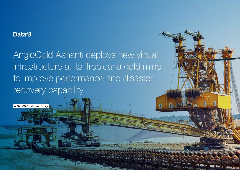## Data#3

AngloGold Ashanti deploys new virtual infrastructure at its Tropicana gold mine to improve performance and disaster recovery capability.

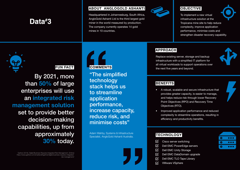# Data#3

#### ABOUT ANGLOGOLD ASHANTI

Headquartered in Johannesburg, South Africa, AngloGold Ashanti Ltd is the third largest gold miner in the world measured by production. The company currently operates 14 gold mines in 10 countries.



## **OBJECTIVE**

To implement a new virtual infrastructure solution at the Tropicana mine site to help reduce complexity, improve application performance, minimise costs and strengthen disaster recovery capability.



## FUN FACT

By 2021, more than 50% of large enterprises will use an integrated risk management solution set to provide better decision-making capabilities, up from approximately 30% today.

Gartner (2019), Digital Business Requires Integrated Risk Management. [Online] https://www.gartner.com/smarterwithgartner/digital-business-requires-integratedrisk-management/



"The simplified technology stack helps us to streamline application performance, increase capacity, reduce risk, and minimise costs"

Adam Wahby, Systems & Infrastructure Specialist, AngloGold Ashanti Australia.



### APPROACH

Replace existing server, storage and backup infrastructure with a simplified IT platform for all virtual workloads to support operations over the next five years and beyond.



## **BENEFITS**

- A robust, scalable and secure infrastructure that provides greater capacity, is easier to manage, and helps reduce risk through lower Recovery Point Objectives (RPO) and Recovery Time Objectives (RTO).
- Improved application performance and reduced complexity to streamline operations, resulting in efficiency and productivity benefits.

## **TECHNOLOGY**

- ☑ Cisco server switching
- $\nabla$ Dell EMC PowerEdge servers
- $\triangledown$ Dell EMC Unity Storage
- Dell EMC DataDomain upgrade ☑
- $\nabla$ Dell EMC TLO Tape Library
- $\overline{\vee}$ VMware VSphere

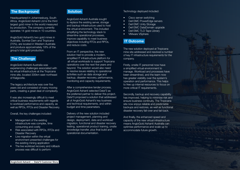#### The Background

Headquartered in Johannesburg, South Africa, AngloGold Ashanti Ltd is the third largest gold miner in the world measured by production. The company currently operates 14 gold mines in 10 countries.

AngloGold Ashanti's two gold mines in Australia, Sunrise Dam and Tropicana (70%), are located in Western Australia and produce approximately 18% of the group's total gold production.

#### **The Challenge**

AngloGold Ashanti Australia was experiencing challenges associated with its virtual infrastructure at the Tropicana mine site, located 330km east-northeast of Kalgoorlie.

The legacy architecture was over five years old and consisted of many moving parts, creating a great deal of complexity.

It was also increasingly difficult to meet critical business requirements with regards to workload performance and capacity, as well as RPOs, RTOs and Disaster Recovery.

Overall, the key challenges included:

- Management of the existing infrastructure was complex, time consuming and costly
- Risk associated with RPOs, RTOs and Disaster Recovery
- Live migration within the virtual environment presented challenges for the existing mining application
- The live workload recovery and rollback process was difficult to perform



AngloGold Ashanti Australia sought to replace the existing server, storage and backup infrastructure used to host the virtual environment. This included simplifying the technology stack to streamline operational processes, improve capability to meet business objectives including RTOs and RPOs, and reduce costs.

From an IT perspective, the new solution had to provide a modern, simplified IT infrastructure platform for all virtual workloads to support Tropicana operations over the next five years and beyond. The solution would also need to resolve issues relating to operational activities such as data storage and backup, disaster recovery, performance, monitoring and capacity requirements.

After a comprehensive tender process, AngloGold Ashanti selected Data# 3 as the preferred partner to deliver this project. Data# 3 proposed a solution that addressed all of AngloGold Ashanti's key business and technical requirements, and within budget and time parameters.

Delivery of the new solution included project management, planning and design, deployment, data and workload migration, functional and disaster recovery testing, operational product training, onsite knowledge transfer, plus final build and operational documentation.

#### Technology deployed included:

- Cisco server switching
- Dell EMC PowerEdge servers
- **Dell EMC Unity Storage**
- Dell EMC DataDomain upgrade
- Dell EMC TLO Tape Library
- VMware VSphere

#### IT Outcome

The new solution deployed at Tropicana mine site addressed and resolved a number of key IT infrastructure requirements for the company.

Firstly, onsite IT personnel now have a simplified virtual environment to manage. Workload and processes have been streamlined, and the team now has greater visibility over the system's operation and performance. This helps to free up internal resources to focus on more critical IT requirements.

Secondly, backup and recovery capability has improved, helping to minimise risk and ensure business continuity. The Tropicana site now enjoys reliable and predictable backups and restores, as well as functional disaster recovery fail-over and fail-back.

And finally, the enhanced speed and capacity of the new virtual infrastructure means AngloGold Ashanti Australia can optimise performance and scale up to accommodate future growth.